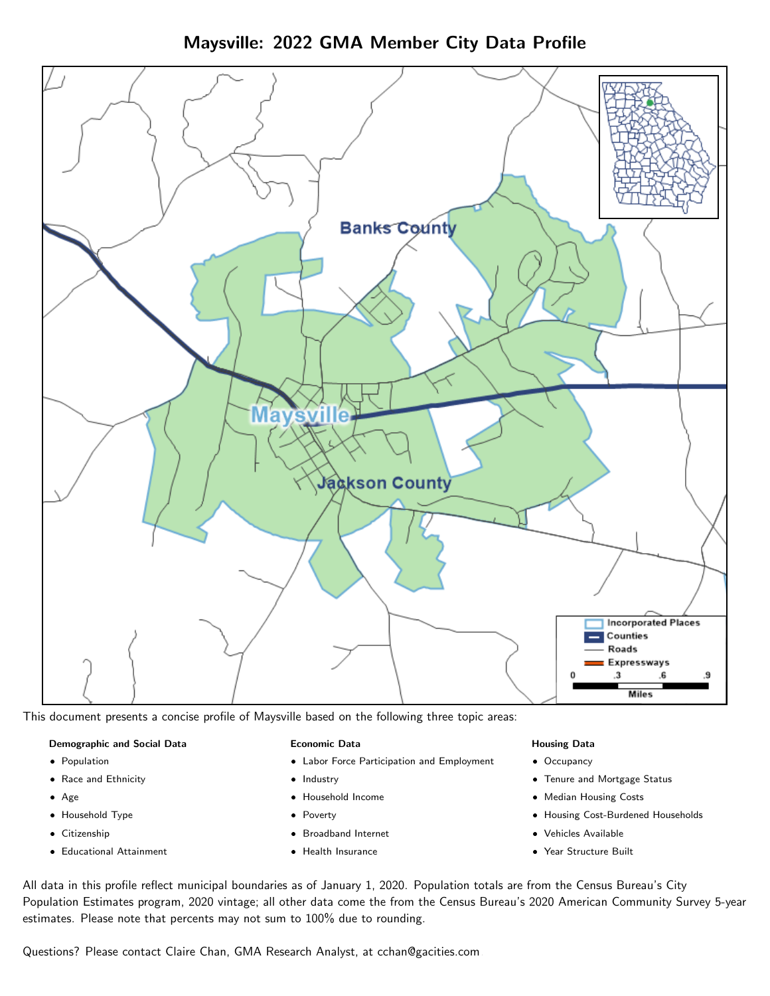Maysville: 2022 GMA Member City Data Profile



This document presents a concise profile of Maysville based on the following three topic areas:

#### Demographic and Social Data

- **•** Population
- Race and Ethnicity
- Age
- Household Type
- **Citizenship**
- Educational Attainment

### Economic Data

- Labor Force Participation and Employment
- Industry
- Household Income
- Poverty
- Broadband Internet
- Health Insurance

#### Housing Data

- Occupancy
- Tenure and Mortgage Status
- Median Housing Costs
- Housing Cost-Burdened Households
- Vehicles Available
- Year Structure Built

All data in this profile reflect municipal boundaries as of January 1, 2020. Population totals are from the Census Bureau's City Population Estimates program, 2020 vintage; all other data come the from the Census Bureau's 2020 American Community Survey 5-year estimates. Please note that percents may not sum to 100% due to rounding.

Questions? Please contact Claire Chan, GMA Research Analyst, at [cchan@gacities.com.](mailto:cchan@gacities.com)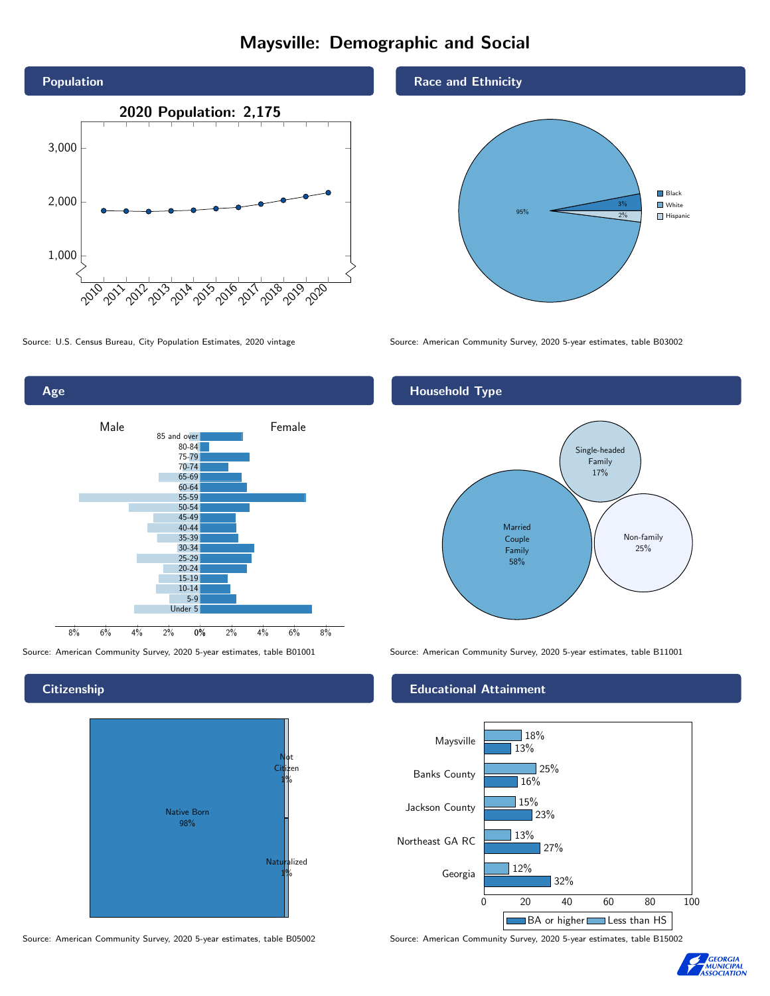# Maysville: Demographic and Social



0% 2% 4% 6% 8% Male <u>Januar Female</u> 8% 6% 4% 2% 85 and over 80-84 75-79 70-74 65-69 60-64 55-59 50-54 45-49 40-44 35-39 30-34 25-29 20-24 15-19 10-14 5-9 Under 5

**Citizenship** 

Age



Source: American Community Survey, 2020 5-year estimates, table B05002 Source: American Community Survey, 2020 5-year estimates, table B15002

Race and Ethnicity



Source: U.S. Census Bureau, City Population Estimates, 2020 vintage Source: American Community Survey, 2020 5-year estimates, table B03002

## Household Type



Source: American Community Survey, 2020 5-year estimates, table B01001 Source: American Community Survey, 2020 5-year estimates, table B11001

#### Educational Attainment



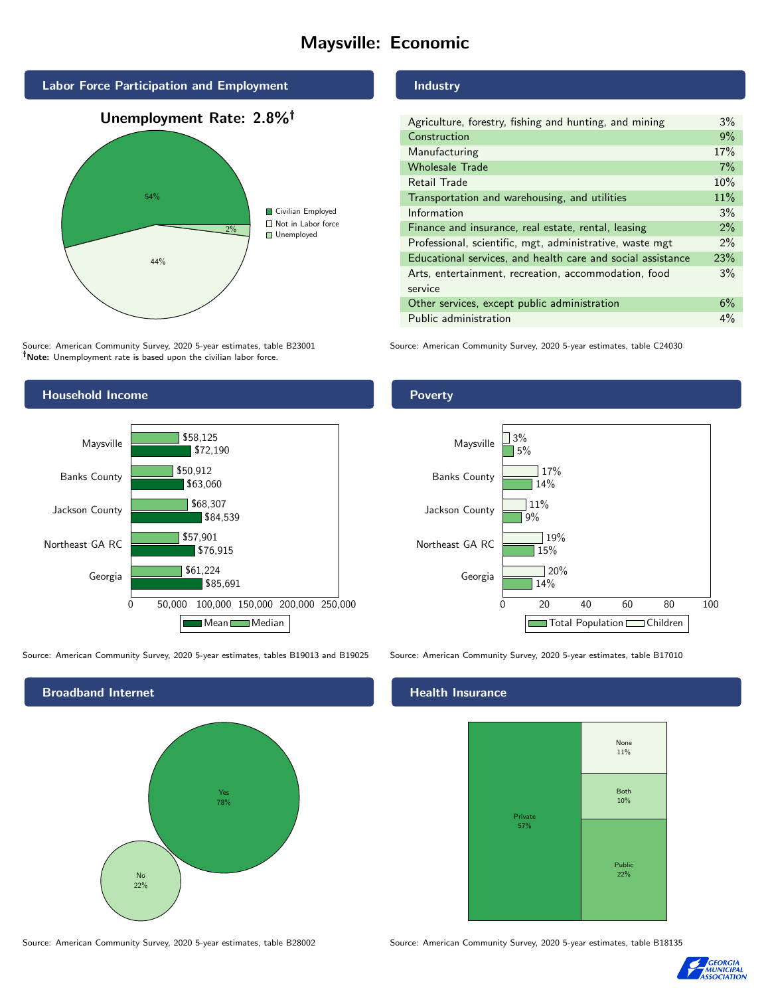# Maysville: Economic



Source: American Community Survey, 2020 5-year estimates, table B23001 Note: Unemployment rate is based upon the civilian labor force.

## Industry

| Agriculture, forestry, fishing and hunting, and mining      | $3\%$ |
|-------------------------------------------------------------|-------|
| Construction                                                | 9%    |
| Manufacturing                                               | 17%   |
| <b>Wholesale Trade</b>                                      | 7%    |
| Retail Trade                                                | 10%   |
| Transportation and warehousing, and utilities               | 11%   |
| Information                                                 | 3%    |
| Finance and insurance, real estate, rental, leasing         | 2%    |
| Professional, scientific, mgt, administrative, waste mgt    | $2\%$ |
| Educational services, and health care and social assistance | 23%   |
| Arts, entertainment, recreation, accommodation, food        | 3%    |
| service                                                     |       |
| Other services, except public administration                | 6%    |
| Public administration                                       | 4%    |
|                                                             |       |

Source: American Community Survey, 2020 5-year estimates, table C24030



Source: American Community Survey, 2020 5-year estimates, tables B19013 and B19025 Source: American Community Survey, 2020 5-year estimates, table B17010

Broadband Internet No 22% Yes 78%

#### Health Insurance



Source: American Community Survey, 2020 5-year estimates, table B28002 Source: American Community Survey, 2020 5-year estimates, table B18135